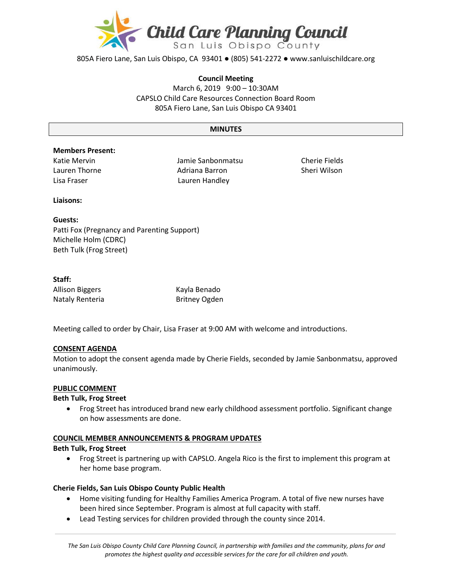

805A Fiero Lane, San Luis Obispo, CA 93401 ● (805) 541-2272 ● www.sanluischildcare.org

#### **Council Meeting**

March 6, 2019 9:00 – 10:30AM CAPSLO Child Care Resources Connection Board Room 805A Fiero Lane, San Luis Obispo CA 93401

#### **MINUTES**

## **Members Present:**

Katie Mervin Lauren Thorne

Jamie Sanbonmatsu Adriana Barron Lisa Fraser Lauren Handley

Cherie Fields Sheri Wilson

#### **Liaisons:**

## **Guests:**

Patti Fox (Pregnancy and Parenting Support) Michelle Holm (CDRC) Beth Tulk (Frog Street)

## **Staff:**

Allison Biggers Kayla Benado Nataly Renteria **Britney Ogden** 

Meeting called to order by Chair, Lisa Fraser at 9:00 AM with welcome and introductions.

## **CONSENT AGENDA**

Motion to adopt the consent agenda made by Cherie Fields, seconded by Jamie Sanbonmatsu, approved unanimously.

#### **PUBLIC COMMENT**

#### **Beth Tulk, Frog Street**

 Frog Street has introduced brand new early childhood assessment portfolio. Significant change on how assessments are done.

## **COUNCIL MEMBER ANNOUNCEMENTS & PROGRAM UPDATES**

#### **Beth Tulk, Frog Street**

 Frog Street is partnering up with CAPSLO. Angela Rico is the first to implement this program at her home base program.

## **Cherie Fields, San Luis Obispo County Public Health**

- Home visiting funding for Healthy Families America Program. A total of five new nurses have been hired since September. Program is almost at full capacity with staff.
- Lead Testing services for children provided through the county since 2014.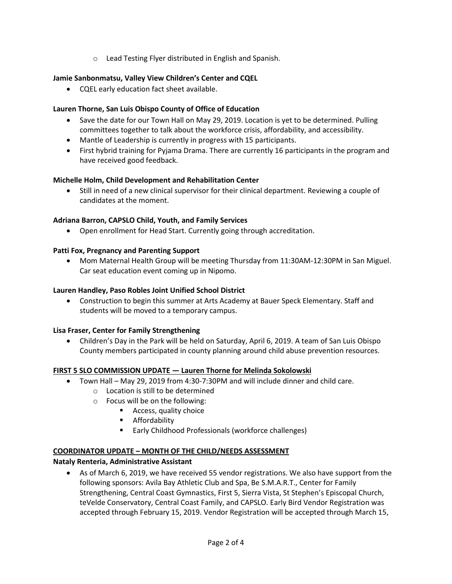o Lead Testing Flyer distributed in English and Spanish.

## **Jamie Sanbonmatsu, Valley View Children's Center and CQEL**

CQEL early education fact sheet available.

## **Lauren Thorne, San Luis Obispo County of Office of Education**

- Save the date for our Town Hall on May 29, 2019. Location is yet to be determined. Pulling committees together to talk about the workforce crisis, affordability, and accessibility.
- Mantle of Leadership is currently in progress with 15 participants.
- First hybrid training for Pyjama Drama. There are currently 16 participants in the program and have received good feedback.

## **Michelle Holm, Child Development and Rehabilitation Center**

 Still in need of a new clinical supervisor for their clinical department. Reviewing a couple of candidates at the moment.

## **Adriana Barron, CAPSLO Child, Youth, and Family Services**

Open enrollment for Head Start. Currently going through accreditation.

## **Patti Fox, Pregnancy and Parenting Support**

 Mom Maternal Health Group will be meeting Thursday from 11:30AM-12:30PM in San Miguel. Car seat education event coming up in Nipomo.

## **Lauren Handley, Paso Robles Joint Unified School District**

 Construction to begin this summer at Arts Academy at Bauer Speck Elementary. Staff and students will be moved to a temporary campus.

## **Lisa Fraser, Center for Family Strengthening**

 Children's Day in the Park will be held on Saturday, April 6, 2019. A team of San Luis Obispo County members participated in county planning around child abuse prevention resources.

## **FIRST 5 SLO COMMISSION UPDATE — Lauren Thorne for Melinda Sokolowski**

- Town Hall May 29, 2019 from 4:30-7:30PM and will include dinner and child care.
	- o Location is still to be determined
	- o Focus will be on the following:
		- **Access, quality choice** 
			- **EXECUTE:** Affordability
			- Early Childhood Professionals (workforce challenges)

## **COORDINATOR UPDATE – MONTH OF THE CHILD/NEEDS ASSESSMENT**

## **Nataly Renteria, Administrative Assistant**

 As of March 6, 2019, we have received 55 vendor registrations. We also have support from the following sponsors: Avila Bay Athletic Club and Spa, Be S.M.A.R.T., Center for Family Strengthening, Central Coast Gymnastics, First 5, Sierra Vista, St Stephen's Episcopal Church, teVelde Conservatory, Central Coast Family, and CAPSLO. Early Bird Vendor Registration was accepted through February 15, 2019. Vendor Registration will be accepted through March 15,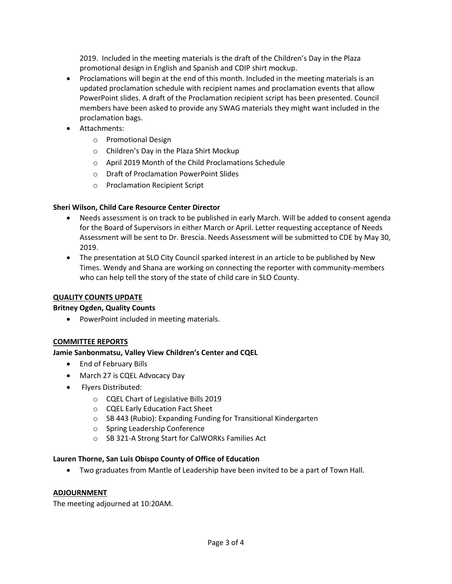2019. Included in the meeting materials is the draft of the Children's Day in the Plaza promotional design in English and Spanish and CDIP shirt mockup.

- Proclamations will begin at the end of this month. Included in the meeting materials is an updated proclamation schedule with recipient names and proclamation events that allow PowerPoint slides. A draft of the Proclamation recipient script has been presented. Council members have been asked to provide any SWAG materials they might want included in the proclamation bags.
- Attachments:
	- o Promotional Design
	- o Children's Day in the Plaza Shirt Mockup
	- o April 2019 Month of the Child Proclamations Schedule
	- o Draft of Proclamation PowerPoint Slides
	- o Proclamation Recipient Script

## **Sheri Wilson, Child Care Resource Center Director**

- Needs assessment is on track to be published in early March. Will be added to consent agenda for the Board of Supervisors in either March or April. Letter requesting acceptance of Needs Assessment will be sent to Dr. Brescia. Needs Assessment will be submitted to CDE by May 30, 2019.
- The presentation at SLO City Council sparked interest in an article to be published by New Times. Wendy and Shana are working on connecting the reporter with community-members who can help tell the story of the state of child care in SLO County.

## **QUALITY COUNTS UPDATE**

# **Britney Ogden, Quality Counts**

• PowerPoint included in meeting materials.

# **COMMITTEE REPORTS**

# **Jamie Sanbonmatsu, Valley View Children's Center and CQEL**

- End of February Bills
- March 27 is CQEL Advocacy Day
- Flyers Distributed:
	- o CQEL Chart of Legislative Bills 2019
	- o CQEL Early Education Fact Sheet
	- o SB 443 (Rubio): Expanding Funding for Transitional Kindergarten
	- o Spring Leadership Conference
	- o SB 321-A Strong Start for CalWORKs Families Act

## **Lauren Thorne, San Luis Obispo County of Office of Education**

Two graduates from Mantle of Leadership have been invited to be a part of Town Hall.

## **ADJOURNMENT**

The meeting adjourned at 10:20AM.